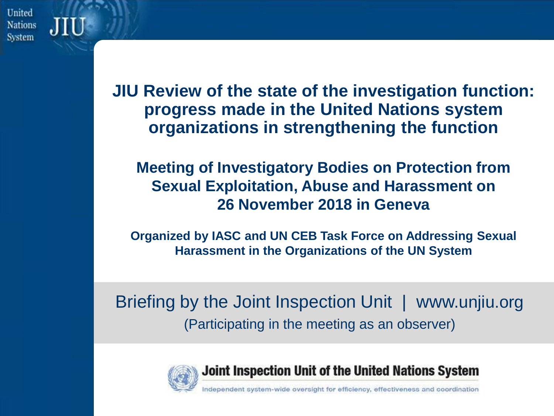United **Nations System** 

> **JIU Review of the state of the investigation function: progress made in the United Nations system organizations in strengthening the function**

**Meeting of Investigatory Bodies on Protection from Sexual Exploitation, Abuse and Harassment on 26 November 2018 in Geneva**

**Organized by IASC and UN CEB Task Force on Addressing Sexual Harassment in the Organizations of the UN System**

Briefing by the Joint Inspection Unit | www.unjiu.org (Participating in the meeting as an observer)



Joint Inspection Unit of the United Nations System

pendent system-wide oversight for efficiency, effectiveness and coordination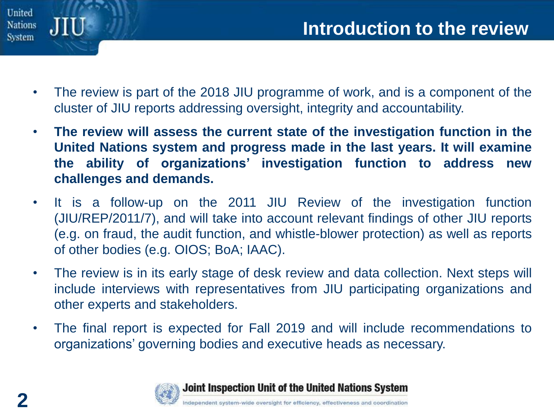

- The review is part of the 2018 JIU programme of work, and is a component of the cluster of JIU reports addressing oversight, integrity and accountability.
- **The review will assess the current state of the investigation function in the United Nations system and progress made in the last years. It will examine the ability of organizations' investigation function to address new challenges and demands.**
- It is a follow-up on the 2011 JIU Review of the investigation function (JIU/REP/2011/7), and will take into account relevant findings of other JIU reports (e.g. on fraud, the audit function, and whistle-blower protection) as well as reports of other bodies (e.g. OIOS; BoA; IAAC).
- The review is in its early stage of desk review and data collection. Next steps will include interviews with representatives from JIU participating organizations and other experts and stakeholders.
- The final report is expected for Fall 2019 and will include recommendations to organizations' governing bodies and executive heads as necessary.



Joint Inspection Unit of the United Nations System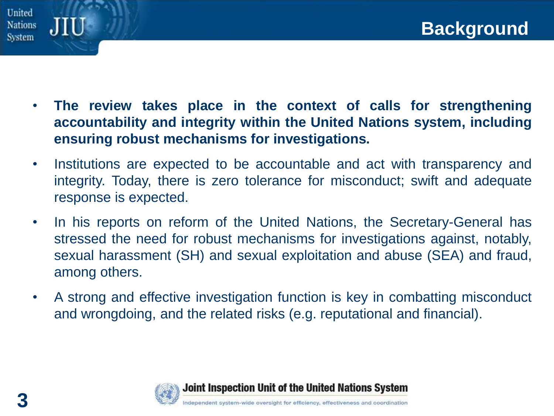



- **The review takes place in the context of calls for strengthening accountability and integrity within the United Nations system, including ensuring robust mechanisms for investigations.**
- Institutions are expected to be accountable and act with transparency and integrity. Today, there is zero tolerance for misconduct; swift and adequate response is expected.
- In his reports on reform of the United Nations, the Secretary-General has stressed the need for robust mechanisms for investigations against, notably, sexual harassment (SH) and sexual exploitation and abuse (SEA) and fraud, among others.
- A strong and effective investigation function is key in combatting misconduct and wrongdoing, and the related risks (e.g. reputational and financial).



**3**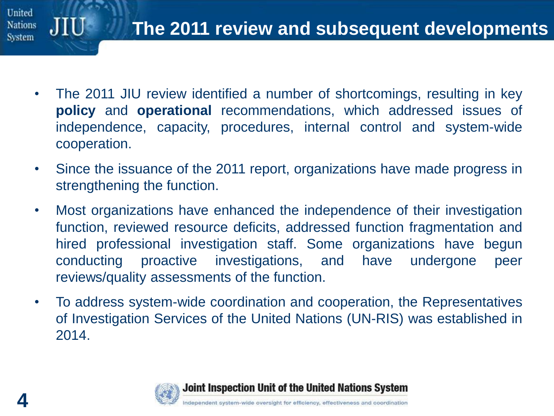

- The 2011 JIU review identified a number of shortcomings, resulting in key **policy** and **operational** recommendations, which addressed issues of independence, capacity, procedures, internal control and system-wide cooperation.
- Since the issuance of the 2011 report, organizations have made progress in strengthening the function.
- Most organizations have enhanced the independence of their investigation function, reviewed resource deficits, addressed function fragmentation and hired professional investigation staff. Some organizations have begun conducting proactive investigations, and have undergone peer reviews/quality assessments of the function.
- To address system-wide coordination and cooperation, the Representatives of Investigation Services of the United Nations (UN-RIS) was established in 2014.

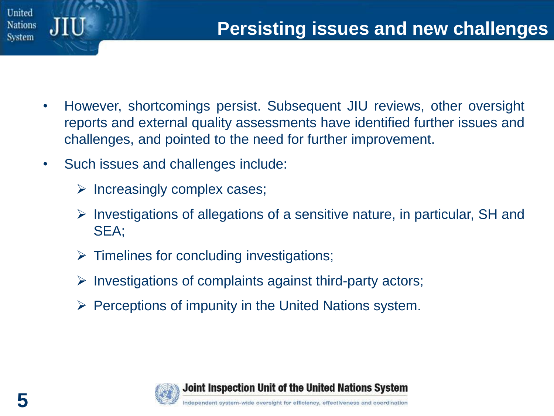

- However, shortcomings persist. Subsequent JIU reviews, other oversight reports and external quality assessments have identified further issues and challenges, and pointed to the need for further improvement.
- Such issues and challenges include:
	- $\triangleright$  Increasingly complex cases;
	- $\triangleright$  Investigations of allegations of a sensitive nature, in particular, SH and SEA;
	- $\triangleright$  Timelines for concluding investigations;
	- ➢ Investigations of complaints against third-party actors;
	- $\triangleright$  Perceptions of impunity in the United Nations system.

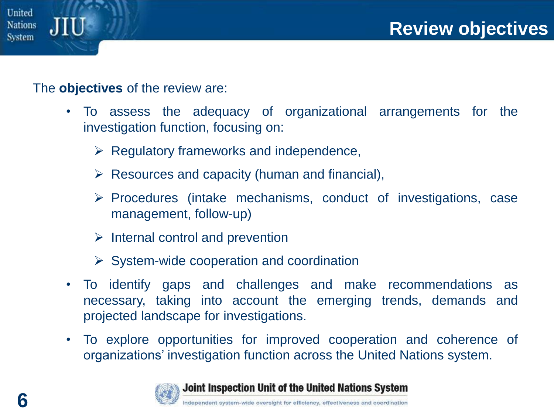

## The **objectives** of the review are:

- To assess the adequacy of organizational arrangements for the investigation function, focusing on:
	- $\triangleright$  Regulatory frameworks and independence,
	- $\triangleright$  Resources and capacity (human and financial),
	- ➢ Procedures (intake mechanisms, conduct of investigations, case management, follow-up)
	- $\triangleright$  Internal control and prevention
	- $\triangleright$  System-wide cooperation and coordination
- To identify gaps and challenges and make recommendations as necessary, taking into account the emerging trends, demands and projected landscape for investigations.
- To explore opportunities for improved cooperation and coherence of organizations' investigation function across the United Nations system.



Joint Inspection Unit of the United Nations System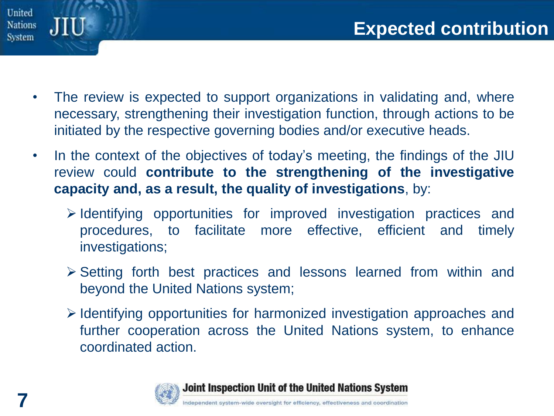

- The review is expected to support organizations in validating and, where necessary, strengthening their investigation function, through actions to be initiated by the respective governing bodies and/or executive heads.
- In the context of the objectives of today's meeting, the findings of the JIU review could **contribute to the strengthening of the investigative capacity and, as a result, the quality of investigations**, by:
	- ➢ Identifying opportunities for improved investigation practices and procedures, to facilitate more effective, efficient and timely investigations;
	- ➢ Setting forth best practices and lessons learned from within and beyond the United Nations system;
	- ➢ Identifying opportunities for harmonized investigation approaches and further cooperation across the United Nations system, to enhance coordinated action.



Joint Inspection Unit of the United Nations System